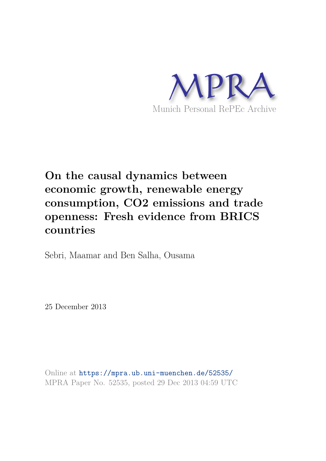

# **On the causal dynamics between economic growth, renewable energy consumption, CO2 emissions and trade openness: Fresh evidence from BRICS countries**

Sebri, Maamar and Ben Salha, Ousama

25 December 2013

Online at https://mpra.ub.uni-muenchen.de/52535/ MPRA Paper No. 52535, posted 29 Dec 2013 04:59 UTC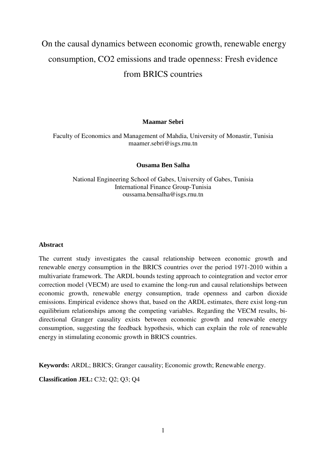# On the causal dynamics between economic growth, renewable energy consumption, CO2 emissions and trade openness: Fresh evidence from BRICS countries

## **Maamar Sebri**

Faculty of Economics and Management of Mahdia, University of Monastir, Tunisia maamer.sebri@isgs.rnu.tn

## **Ousama Ben Salha**

National Engineering School of Gabes, University of Gabes, Tunisia International Finance Group-Tunisia oussama.bensalha@isgs.rnu.tn

## **Abstract**

The current study investigates the causal relationship between economic growth and renewable energy consumption in the BRICS countries over the period 1971-2010 within a multivariate framework. The ARDL bounds testing approach to cointegration and vector error correction model (VECM) are used to examine the long-run and causal relationships between economic growth, renewable energy consumption, trade openness and carbon dioxide emissions. Empirical evidence shows that, based on the ARDL estimates, there exist long-run equilibrium relationships among the competing variables. Regarding the VECM results, bidirectional Granger causality exists between economic growth and renewable energy consumption, suggesting the feedback hypothesis, which can explain the role of renewable energy in stimulating economic growth in BRICS countries.

**Keywords:** ARDL; BRICS; Granger causality; Economic growth; Renewable energy.

**Classification JEL:** C32; Q2; Q3; Q4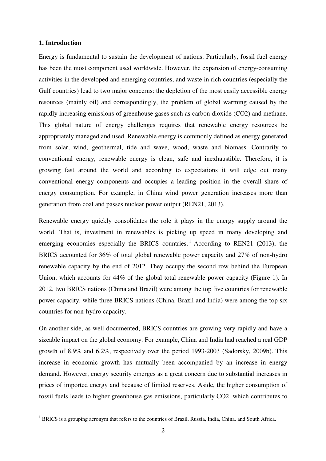#### **1. Introduction**

l

Energy is fundamental to sustain the development of nations. Particularly, fossil fuel energy has been the most component used worldwide. However, the expansion of energy-consuming activities in the developed and emerging countries, and waste in rich countries (especially the Gulf countries) lead to two major concerns: the depletion of the most easily accessible energy resources (mainly oil) and correspondingly, the problem of global warming caused by the rapidly increasing emissions of greenhouse gases such as carbon dioxide (CO2) and methane. This global nature of energy challenges requires that renewable energy resources be appropriately managed and used. Renewable energy is commonly defined as energy generated from solar, wind, geothermal, tide and wave, wood, waste and biomass. Contrarily to conventional energy, renewable energy is clean, safe and inexhaustible. Therefore, it is growing fast around the world and according to expectations it will edge out many conventional energy components and occupies a leading position in the overall share of energy consumption. For example, in China wind power generation increases more than generation from coal and passes nuclear power output (REN21, 2013).

Renewable energy quickly consolidates the role it plays in the energy supply around the world. That is, investment in renewables is picking up speed in many developing and emerging economies especially the BRICS countries.<sup>1</sup> According to REN21 (2013), the BRICS accounted for 36% of total global renewable power capacity and 27% of non-hydro renewable capacity by the end of 2012. They occupy the second row behind the European Union, which accounts for 44% of the global total renewable power capacity (Figure 1). In 2012, two BRICS nations (China and Brazil) were among the top five countries for renewable power capacity, while three BRICS nations (China, Brazil and India) were among the top six countries for non-hydro capacity.

On another side, as well documented, BRICS countries are growing very rapidly and have a sizeable impact on the global economy. For example, China and India had reached a real GDP growth of 8.9% and 6.2%, respectively over the period 1993-2003 (Sadorsky, 2009b). This increase in economic growth has mutually been accompanied by an increase in energy demand. However, energy security emerges as a great concern due to substantial increases in prices of imported energy and because of limited reserves. Aside, the higher consumption of fossil fuels leads to higher greenhouse gas emissions, particularly CO2, which contributes to

<sup>&</sup>lt;sup>1</sup> BRICS is a grouping acronym that refers to the countries of Brazil, Russia, India, China, and South Africa.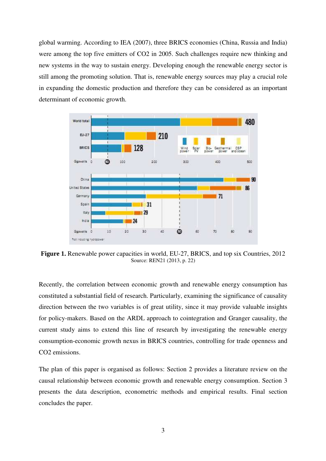global warming. According to IEA (2007), three BRICS economies (China, Russia and India) were among the top five emitters of CO2 in 2005. Such challenges require new thinking and new systems in the way to sustain energy. Developing enough the renewable energy sector is still among the promoting solution. That is, renewable energy sources may play a crucial role in expanding the domestic production and therefore they can be considered as an important determinant of economic growth.



**Figure 1.** Renewable power capacities in world, EU-27, BRICS, and top six Countries, 2012 Source: REN21 (2013, p. 22)

Recently, the correlation between economic growth and renewable energy consumption has constituted a substantial field of research. Particularly, examining the significance of causality direction between the two variables is of great utility, since it may provide valuable insights for policy-makers. Based on the ARDL approach to cointegration and Granger causality, the current study aims to extend this line of research by investigating the renewable energy consumption-economic growth nexus in BRICS countries, controlling for trade openness and CO<sub>2</sub> emissions.

The plan of this paper is organised as follows: Section 2 provides a literature review on the causal relationship between economic growth and renewable energy consumption. Section 3 presents the data description, econometric methods and empirical results. Final section concludes the paper.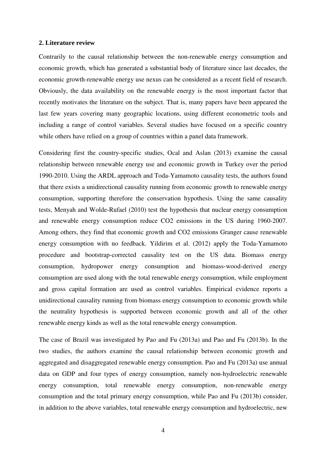#### **2. Literature review**

Contrarily to the causal relationship between the non-renewable energy consumption and economic growth, which has generated a substantial body of literature since last decades, the economic growth-renewable energy use nexus can be considered as a recent field of research. Obviously, the data availability on the renewable energy is the most important factor that recently motivates the literature on the subject. That is, many papers have been appeared the last few years covering many geographic locations, using different econometric tools and including a range of control variables. Several studies have focused on a specific country while others have relied on a group of countries within a panel data framework.

Considering first the country-specific studies, Ocal and Aslan (2013) examine the causal relationship between renewable energy use and economic growth in Turkey over the period 1990-2010. Using the ARDL approach and Toda-Yamamoto causality tests, the authors found that there exists a unidirectional causality running from economic growth to renewable energy consumption, supporting therefore the conservation hypothesis. Using the same causality tests, Menyah and Wolde-Rufael (2010) test the hypothesis that nuclear energy consumption and renewable energy consumption reduce CO2 emissions in the US during 1960-2007. Among others, they find that economic growth and CO2 emissions Granger cause renewable energy consumption with no feedback. Yildirim et al. (2012) apply the Toda-Yamamoto procedure and bootstrap-corrected causality test on the US data. Biomass energy consumption, hydropower energy consumption and biomass-wood-derived energy consumption are used along with the total renewable energy consumption, while employment and gross capital formation are used as control variables. Empirical evidence reports a unidirectional causality running from biomass energy consumption to economic growth while the neutrality hypothesis is supported between economic growth and all of the other renewable energy kinds as well as the total renewable energy consumption.

The case of Brazil was investigated by Pao and Fu (2013a) and Pao and Fu (2013b). In the two studies, the authors examine the causal relationship between economic growth and aggregated and disaggregated renewable energy consumption. Pao and Fu (2013a) use annual data on GDP and four types of energy consumption, namely non-hydroelectric renewable energy consumption, total renewable energy consumption, non-renewable energy consumption and the total primary energy consumption, while Pao and Fu (2013b) consider, in addition to the above variables, total renewable energy consumption and hydroelectric, new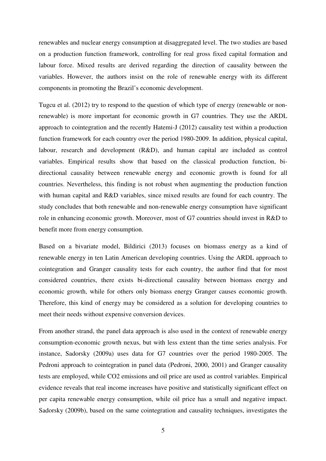renewables and nuclear energy consumption at disaggregated level. The two studies are based on a production function framework, controlling for real gross fixed capital formation and labour force. Mixed results are derived regarding the direction of causality between the variables. However, the authors insist on the role of renewable energy with its different components in promoting the Brazil's economic development.

Tugcu et al. (2012) try to respond to the question of which type of energy (renewable or nonrenewable) is more important for economic growth in G7 countries. They use the ARDL approach to cointegration and the recently Hatemi-J (2012) causality test within a production function framework for each country over the period 1980-2009. In addition, physical capital, labour, research and development (R&D), and human capital are included as control variables. Empirical results show that based on the classical production function, bidirectional causality between renewable energy and economic growth is found for all countries. Nevertheless, this finding is not robust when augmenting the production function with human capital and R&D variables, since mixed results are found for each country. The study concludes that both renewable and non-renewable energy consumption have significant role in enhancing economic growth. Moreover, most of G7 countries should invest in R&D to benefit more from energy consumption.

Based on a bivariate model, Bildirici (2013) focuses on biomass energy as a kind of renewable energy in ten Latin American developing countries. Using the ARDL approach to cointegration and Granger causality tests for each country, the author find that for most considered countries, there exists bi-directional causality between biomass energy and economic growth, while for others only biomass energy Granger causes economic growth. Therefore, this kind of energy may be considered as a solution for developing countries to meet their needs without expensive conversion devices.

From another strand, the panel data approach is also used in the context of renewable energy consumption-economic growth nexus, but with less extent than the time series analysis. For instance, Sadorsky (2009a) uses data for G7 countries over the period 1980-2005. The Pedroni approach to cointegration in panel data (Pedroni, 2000, 2001) and Granger causality tests are employed, while CO2 emissions and oil price are used as control variables. Empirical evidence reveals that real income increases have positive and statistically significant effect on per capita renewable energy consumption, while oil price has a small and negative impact. Sadorsky (2009b), based on the same cointegration and causality techniques, investigates the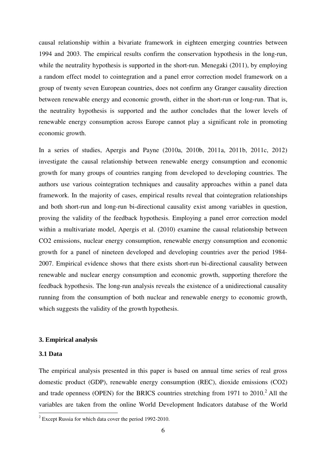causal relationship within a bivariate framework in eighteen emerging countries between 1994 and 2003. The empirical results confirm the conservation hypothesis in the long-run, while the neutrality hypothesis is supported in the short-run. Menegaki (2011), by employing a random effect model to cointegration and a panel error correction model framework on a group of twenty seven European countries, does not confirm any Granger causality direction between renewable energy and economic growth, either in the short-run or long-run. That is, the neutrality hypothesis is supported and the author concludes that the lower levels of renewable energy consumption across Europe cannot play a significant role in promoting economic growth.

In a series of studies, Apergis and Payne (2010a, 2010b, 2011a, 2011b, 2011c, 2012) investigate the causal relationship between renewable energy consumption and economic growth for many groups of countries ranging from developed to developing countries. The authors use various cointegration techniques and causality approaches within a panel data framework. In the majority of cases, empirical results reveal that cointegration relationships and both short-run and long-run bi-directional causality exist among variables in question, proving the validity of the feedback hypothesis. Employing a panel error correction model within a multivariate model, Apergis et al. (2010) examine the causal relationship between CO2 emissions, nuclear energy consumption, renewable energy consumption and economic growth for a panel of nineteen developed and developing countries aver the period 1984- 2007. Empirical evidence shows that there exists short-run bi-directional causality between renewable and nuclear energy consumption and economic growth, supporting therefore the feedback hypothesis. The long-run analysis reveals the existence of a unidirectional causality running from the consumption of both nuclear and renewable energy to economic growth, which suggests the validity of the growth hypothesis.

#### **3. Empirical analysis**

### **3.1 Data**

The empirical analysis presented in this paper is based on annual time series of real gross domestic product (GDP), renewable energy consumption (REC), dioxide emissions (CO2) and trade openness (OPEN) for the BRICS countries stretching from 1971 to  $2010<sup>2</sup>$  All the variables are taken from the online World Development Indicators database of the World l

 $2^{2}$  Except Russia for which data cover the period 1992-2010.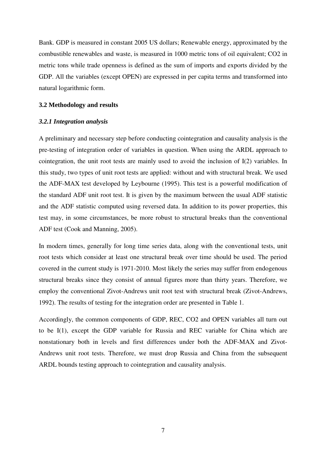Bank. GDP is measured in constant 2005 US dollars; Renewable energy, approximated by the combustible renewables and waste, is measured in 1000 metric tons of oil equivalent; CO2 in metric tons while trade openness is defined as the sum of imports and exports divided by the GDP. All the variables (except OPEN) are expressed in per capita terms and transformed into natural logarithmic form.

### **3.2 Methodology and results**

#### *3.2.1 Integration analysis*

A preliminary and necessary step before conducting cointegration and causality analysis is the pre-testing of integration order of variables in question. When using the ARDL approach to cointegration, the unit root tests are mainly used to avoid the inclusion of  $I(2)$  variables. In this study, two types of unit root tests are applied: without and with structural break. We used the ADF-MAX test developed by Leybourne (1995). This test is a powerful modification of the standard ADF unit root test. It is given by the maximum between the usual ADF statistic and the ADF statistic computed using reversed data. In addition to its power properties, this test may, in some circumstances, be more robust to structural breaks than the conventional ADF test (Cook and Manning, 2005).

In modern times, generally for long time series data, along with the conventional tests, unit root tests which consider at least one structural break over time should be used. The period covered in the current study is 1971-2010. Most likely the series may suffer from endogenous structural breaks since they consist of annual figures more than thirty years. Therefore, we employ the conventional Zivot-Andrews unit root test with structural break (Zivot-Andrews, 1992). The results of testing for the integration order are presented in Table 1.

Accordingly, the common components of GDP, REC, CO2 and OPEN variables all turn out to be I(1), except the GDP variable for Russia and REC variable for China which are nonstationary both in levels and first differences under both the ADF-MAX and Zivot-Andrews unit root tests. Therefore, we must drop Russia and China from the subsequent ARDL bounds testing approach to cointegration and causality analysis.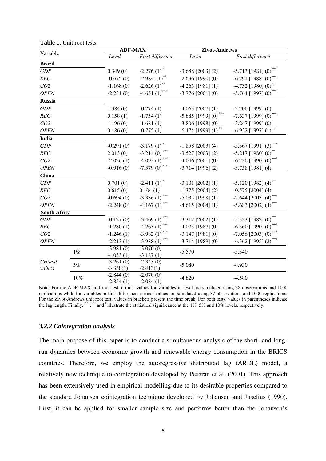| Variable            |       | <b>ADF-MAX</b>             |                            | Zivot-Andrews       |                                  |  |
|---------------------|-------|----------------------------|----------------------------|---------------------|----------------------------------|--|
|                     |       | Level                      | First difference           | Level               | First difference                 |  |
| <b>Brazil</b>       |       |                            |                            |                     |                                  |  |
| GDP                 |       | 0.349(0)                   | $-2.276(1)$ <sup>*</sup>   | $-3.688$ [2003] (2) | $-5.713$ [1981] (0)              |  |
| REC                 |       | $-0.675(0)$                | $-2.984(1)$                | $-2.636$ [1990] (0) | $-6.291$ [1988] (0)              |  |
| CO <sub>2</sub>     |       | $-1.168(0)$                | $-2.626(1)$ **             | $-4.265$ [1981] (1) | $-4.732$ [1980] (0)              |  |
| <b>OPEN</b>         |       | $-2.231(0)$                | $-4.651(1)$ ***            | $-3.776$ [2001] (0) | $-5.764$ [1997] (0)              |  |
| <b>Russia</b>       |       |                            |                            |                     |                                  |  |
| GDP                 |       | 1.384(0)                   | $-0.774(1)$                | $-4.063$ [2007] (1) | $-3.706$ [1999] (0)              |  |
| REC                 |       | 0.158(1)                   | $-1.754(1)$                | $-5.885$ [1999] (0) | $-7.637$ [1999] (0)              |  |
| CO <sub>2</sub>     |       | 1.196(0)                   | $-1.681(1)$                | $-3.806$ [1998] (0) | $-3.247$ [1999] (0)              |  |
| <b>OPEN</b>         |       | 0.186(0)                   | $-0.775(1)$                | $-6.474$ [1999] (1) | $-6.922$ [1997] (1)              |  |
| <b>India</b>        |       |                            |                            |                     |                                  |  |
| GDP                 |       | $-0.291(0)$                | $-3.179(1)$                | $-1.858$ [2003] (4) | $-5.367$ [1991] (3)              |  |
| REC                 |       | 2.013(0)                   | $-3.214(0)$                | $-3.527$ [2003] (2) | $-5.217$ [1980] (0) <sup>2</sup> |  |
| CO <sub>2</sub>     |       | $-2.026(1)$                | $-4.093(1)$                | $-4.046$ [2001] (0) | $-6.736$ [1990] (0)              |  |
| <b>OPEN</b>         |       | $-0.916(0)$                | $-7.379(0)$ ***            | $-3.714$ [1996] (2) | $-3.758$ [1981] (4)              |  |
| China               |       |                            |                            |                     |                                  |  |
| GDP                 |       | 0.701(0)                   | $-2.411(1)$ <sup>*</sup>   | $-3.101$ [2002] (1) | $-5.120$ [1982] (4)              |  |
| REC                 |       | 0.615(0)                   | 0.104(1)                   | $-1.375$ [2004] (2) | $-0.575$ [2004] (4)              |  |
| CO <sub>2</sub>     |       | $-0.694(0)$                | $-3.336(1)$                | $-5.035$ [1998] (1) | $-7.644$ [2003] (4)              |  |
| <b>OPEN</b>         |       | $-2.248(0)$                | $-4.167(1)$                | $-4.615$ [2004] (1) | $-5.683$ [2002] (4)              |  |
| <b>South Africa</b> |       |                            |                            |                     |                                  |  |
| GDP                 |       | $-0.127(0)$                | $-3.469(1)$                | $-3.312$ [2002] (1) | $-5.333$ [1982] (0)              |  |
| REC                 |       | $-1.280(1)$                | $-4.263(1)$                | $-4.073$ [1987] (0) | $-6.360$ [1990] (0)              |  |
| CO <sub>2</sub>     |       | $-1.246(1)$                | ***<br>$-3.982(1)$         | $-3.147$ [1981] (0) | $-7.056$ [2003] (0)              |  |
| <b>OPEN</b>         |       | $-2.213(1)$                | ***<br>$-3.988(1)$         | $-3.714$ [1989] (0) | $-6.362$ [1995] (2)              |  |
| Critical            | $1\%$ | $-3.981(0)$                | $-3.070(0)$                | $-5.570$            | $-5.340$                         |  |
|                     |       | $-4.033(1)$                | $-3.187(1)$                |                     |                                  |  |
|                     | $5\%$ | $-3.261(0)$                | $-2.343(0)$                | $-5.080$            | $-4.930$                         |  |
| values              |       | $-3.330(1)$<br>$-2.844(0)$ | $-2.413(1)$<br>$-2.070(0)$ |                     |                                  |  |
|                     | 10%   | $-2.854(1)$                | $-2.084(1)$                | $-4.820$            | $-4.580$                         |  |

**Table 1.** Unit root tests

Note: For the ADF-MAX unit root test, critical values for variables in level are simulated using 38 observations and 1000 replications while for variables in first difference, critical values are simulated using 37 observations and 1000 replications. For the Zivot-Andrews unit root test, values in brackets present the time break. For both tests, values in parentheses indicate the lag length. Finally, \*\*\*, \*\* and \* illustrate the statistical significance at the  $1\%$ , 5% and  $10\%$  levels, respectively.

#### *3.2.2 Cointegration analysis*

The main purpose of this paper is to conduct a simultaneous analysis of the short- and longrun dynamics between economic growth and renewable energy consumption in the BRICS countries. Therefore, we employ the autoregressive distributed lag (ARDL) model, a relatively new technique to cointegration developed by Pesaran et al. (2001). This approach has been extensively used in empirical modelling due to its desirable properties compared to the standard Johansen cointegration technique developed by Johansen and Juselius (1990). First, it can be applied for smaller sample size and performs better than the Johansen's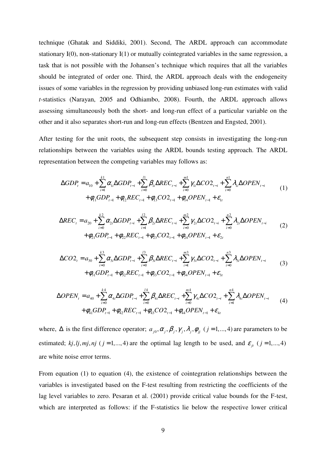technique (Ghatak and Siddiki, 2001). Second, The ARDL approach can accommodate stationary I(0), non-stationary I(1) or mutually cointegrated variables in the same regression, a task that is not possible with the Johansen's technique which requires that all the variables should be integrated of order one. Third, the ARDL approach deals with the endogeneity issues of some variables in the regression by providing unbiased long-run estimates with valid *t-*statistics (Narayan, 2005 and Odhiambo, 2008). Fourth, the ARDL approach allows assessing simultaneously both the short- and long-run effect of a particular variable on the other and it also separates short-run and long-run effects (Bentzen and Engsted, 2001).

After testing for the unit roots, the subsequent step consists in investigating the long-run relationships between the variables using the ARDL bounds testing approach. The ARDL representation between the competing variables may follows as:

$$
\Delta GDP_{t} = a_{10} + \sum_{i=1}^{k1} \alpha_{1i} \Delta GDP_{t-i} + \sum_{i=0}^{l1} \beta_{1i} \Delta REC_{t-i} + \sum_{i=0}^{m1} \gamma_{1i} \Delta CO2_{t-i} + \sum_{i=0}^{n1} \lambda_{1i} \Delta OPEN_{t-i} + \phi_{11} GDP_{t-1} + \phi_{12} REC_{t-1} + \phi_{13} CO2_{t-1} + \phi_{14} OPEN_{t-1} + \varepsilon_{1t}
$$
\n(1)

$$
\Delta REC_{t} = a_{20} + \sum_{i=0}^{k2} \alpha_{2i} \Delta GDP_{t-i} + \sum_{i=1}^{l2} \beta_{2i} \Delta REC_{t-i} + \sum_{i=0}^{m2} \gamma_{2i} \Delta CO2_{t-i} + \sum_{i=0}^{n2} \lambda_{2i} \Delta OPEN_{t-i} + \phi_{21} GDP_{t-1} + \phi_{22} REC_{t-1} + \phi_{23} CO2_{t-1} + \phi_{24} OPEN_{t-1} + \varepsilon_{2t}
$$
\n(2)

$$
\Delta CO_{t} = a_{30} + \sum_{i=0}^{k3} \alpha_{3i} \Delta GDP_{t-i} + \sum_{i=0}^{l3} \beta_{3i} \Delta REC_{t-i} + \sum_{i=1}^{m3} \gamma_{3i} \Delta CO_{t-i} + \sum_{i=0}^{n3} \lambda_{3i} \Delta OPEN_{t-i} + \phi_{31} GDP_{t-1} + \phi_{32} REC_{t-1} + \phi_{33} CO2_{t-1} + \phi_{34} OPEN_{t-1} + \varepsilon_{3t}
$$
\n(3)

$$
\Delta OPEN_{t} = a_{40} + \sum_{i=0}^{k4} \alpha_{4i} \Delta GDP_{t-i} + \sum_{i=0}^{l4} \beta_{4i} \Delta REC_{t-i} + \sum_{i=0}^{m4} \gamma_{4i} \Delta CO2_{t-i} + \sum_{i=1}^{n4} \lambda_{4i} \Delta OPEN_{t-i} + \phi_{41} GDP_{t-1} + \phi_{42} REC_{t-1} + \phi_{43} CO2_{t-1} + \phi_{44} OPEN_{t-1} + \varepsilon_{4t}
$$
\n(4)

where,  $\Delta$  is the first difference operator;  $a_{j0}, \alpha_j, \beta_j, \gamma_j, \lambda_j, \phi_{jj}$  ( $j = 1, ..., 4$ ) are parameters to be estimated; *kj*, *lj*, *mj*, *nj* ( $j = 1, ..., 4$ ) are the optimal lag length to be used, and  $\varepsilon_{it}$  ( $j = 1, ..., 4$ ) are white noise error terms.

From equation (1) to equation (4), the existence of cointegration relationships between the variables is investigated based on the F-test resulting from restricting the coefficients of the lag level variables to zero. Pesaran et al. (2001) provide critical value bounds for the F-test, which are interpreted as follows: if the F-statistics lie below the respective lower critical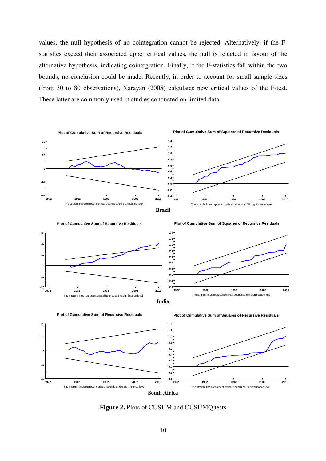values, the null hypothesis of no cointegration cannot be rejected. Alternatively, if the Fstatistics exceed their associated upper critical values, the null is rejected in favour of the alternative hypothesis, indicating cointegration. Finally, if the F-statistics fall within the two bounds, no conclusion could be made. Recently, in order to account for small sample sizes (from 30 to 80 observations), Narayan (2005) calculates new critical values of the F-test. These latter are commonly used in studies conducted on limited data.







**Figure 2.** Plots of CUSUM and CUSUMQ tests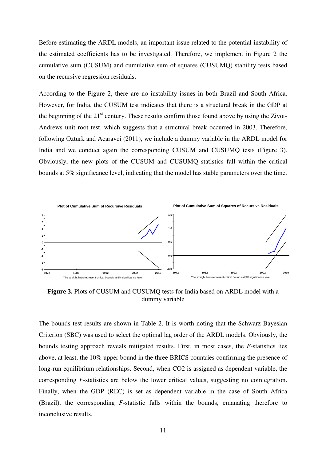Before estimating the ARDL models, an important issue related to the potential instability of the estimated coefficients has to be investigated. Therefore, we implement in Figure 2 the cumulative sum (CUSUM) and cumulative sum of squares (CUSUMQ) stability tests based on the recursive regression residuals.

According to the Figure 2, there are no instability issues in both Brazil and South Africa. However, for India, the CUSUM test indicates that there is a structural break in the GDP at the beginning of the  $21<sup>st</sup>$  century. These results confirm those found above by using the Zivot-Andrews unit root test, which suggests that a structural break occurred in 2003. Therefore, following Ozturk and Acaravci (2011), we include a dummy variable in the ARDL model for India and we conduct again the corresponding CUSUM and CUSUMQ tests (Figure 3). Obviously, the new plots of the CUSUM and CUSUMQ statistics fall within the critical bounds at 5% significance level, indicating that the model has stable parameters over the time.



**Figure 3.** Plots of CUSUM and CUSUMQ tests for India based on ARDL model with a dummy variable

The bounds test results are shown in Table 2. It is worth noting that the Schwarz Bayesian Criterion (SBC) was used to select the optimal lag order of the ARDL models. Obviously, the bounds testing approach reveals mitigated results. First, in most cases, the *F*-statistics lies above, at least, the 10% upper bound in the three BRICS countries confirming the presence of long-run equilibrium relationships. Second, when CO2 is assigned as dependent variable, the corresponding *F*-statistics are below the lower critical values, suggesting no cointegration. Finally, when the GDP (REC) is set as dependent variable in the case of South Africa (Brazil), the corresponding *F*-statistic falls within the bounds, emanating therefore to inconclusive results.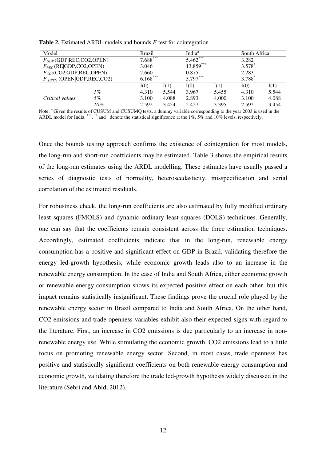| Model                         | <b>Brazil</b> |            | India <sup>a</sup> |            | South Africa    |                      |       |
|-------------------------------|---------------|------------|--------------------|------------|-----------------|----------------------|-------|
| $F_{GDP}$ (GDP REC,CO2,OPEN)  |               | $7.688***$ |                    | $5.462***$ |                 | 3.282                |       |
| $F_{REC}$ (RE GDP,CO2,OPEN)   | 3.046         |            |                    | 13.859***  |                 | $3.578$ <sup>*</sup> |       |
| $F_{CO2}$ (CO2 GDP,REC,OPEN)  | 2.660         |            | 0.875              |            | 2.283           |                      |       |
| $F_{OPEN}$ (OPEN GDP,REC,CO2) |               | $6.168***$ |                    | 5.797***   |                 | 3.788 <sup>*</sup>   |       |
|                               |               | I(0)       | I(1)               | I(0)       | $\mathrm{I}(1)$ | I(0)                 |       |
|                               | 1%            | 4.310      | 5.544              | 3.967      | 5.455           | 4.310                | 5.544 |
| Critical values               | 5%            | 3.100      | 4.088              | 2.893      | 4.000           | 3.100                | 4.088 |
|                               | 10%           | 2.592      | 3.454              | 2.427      | 3.395           | 2.592                | 3.454 |

**Table 2.** Estimated ARDL models and bounds *F-*test for cointegration

Note: <sup>a</sup> Given the results of CUSUM and CUSUMQ tests, a dummy variable corresponding to the year 2003 is used in the ARDL model for India. \*\*\*, \*\* and  $*$  denote the statistical significance at the 1%, 5% and 10% levels, respectively.

Once the bounds testing approach confirms the existence of cointegration for most models, the long-run and short-run coefficients may be estimated. Table 3 shows the empirical results of the long-run estimates using the ARDL modelling. These estimates have usually passed a series of diagnostic tests of normality, heteroscedasticity, misspecification and serial correlation of the estimated residuals.

For robustness check, the long-run coefficients are also estimated by fully modified ordinary least squares (FMOLS) and dynamic ordinary least squares (DOLS) techniques. Generally, one can say that the coefficients remain consistent across the three estimation techniques. Accordingly, estimated coefficients indicate that in the long-run, renewable energy consumption has a positive and significant effect on GDP in Brazil, validating therefore the energy led-growth hypothesis, while economic growth leads also to an increase in the renewable energy consumption. In the case of India and South Africa, either economic growth or renewable energy consumption shows its expected positive effect on each other, but this impact remains statistically insignificant. These findings prove the crucial role played by the renewable energy sector in Brazil compared to India and South Africa. On the other hand, CO2 emissions and trade openness variables exhibit also their expected signs with regard to the literature. First, an increase in CO2 emissions is due particularly to an increase in nonrenewable energy use. While stimulating the economic growth, CO2 emissions lead to a little focus on promoting renewable energy sector. Second, in most cases, trade openness has positive and statistically significant coefficients on both renewable energy consumption and economic growth, validating therefore the trade led-growth hypothesis widely discussed in the literature (Sebri and Abid, 2012).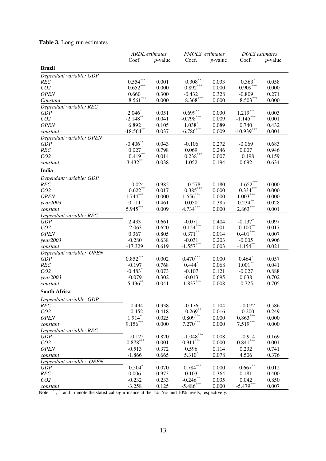# **Table 3.** Long-run estimates

|                                     | <b>ARDL</b> estimates         |                | <b>FMOLS</b> estimates  |                 | DOLS estimates         |                |
|-------------------------------------|-------------------------------|----------------|-------------------------|-----------------|------------------------|----------------|
|                                     | Coef.                         | $p$ -value     | Coef.                   | <i>p</i> -value | Coef.                  | $p$ -value     |
| <b>Brazil</b>                       |                               |                |                         |                 |                        |                |
| Dependant variable: GDP             |                               |                |                         |                 |                        |                |
| <b>REC</b>                          | $0.554***$                    | 0.001          | $0.308***$              | 0.033           | $0.363*$               | 0.058          |
| CO <sub>2</sub>                     | $0.652\sp{***}$               | 0.000          | $0.892***$              | 0.000           | $0.909***$             | 0.000          |
| <b>OPEN</b>                         | 0.660                         | 0.300          | $-0.432$                | 0.328           | $-0.809$               | 0.271          |
| Constant                            | $8.561***$                    | 0.000          | $8.368***$              | 0.000           | $8.503***$             | 0.000          |
| Dependant variable: REC             |                               |                |                         |                 |                        |                |
| <b>GDP</b>                          | $2.046*$                      | 0.051          | $0.699***$              | 0.030           | $1.219***$             | 0.003          |
| CO <sub>2</sub>                     | $-2.148$ **                   | 0.041          | $-0.798***$             | 0.009           | $-1.145***$            | 0.001          |
| <b>OPEN</b>                         | 6.892                         | 0.105          | $1.038*$                | 0.089           | 0.740                  | 0.432          |
| constant                            | $-18.564$ **                  | 0.037          | $-6.786$ ***            | 0.009           | $-10.939***$           | 0.001          |
| Dependant variable: OPEN            |                               |                |                         |                 |                        |                |
| <b>GDP</b>                          | $-0.406**$                    | 0.043          | $-0.106$                | 0.272           | $-0.069$               | 0.683          |
| REC                                 | 0.027                         | 0.798          | 0.069                   | 0.246           | 0.007                  | 0.946          |
| CO <sub>2</sub>                     | $0.419***$                    | 0.014          | $0.238***$              | 0.007           | 0.198                  | 0.159          |
| constant                            | $3.432***$                    | 0.038          | 1.052                   | 0.194           | 0.692                  | 0.634          |
| India                               |                               |                |                         |                 |                        |                |
| Dependant variable: GDP             |                               |                |                         |                 |                        |                |
| <b>REC</b>                          | $-0.024$                      | 0.982          | $-0.578$                | 0.180           | $-1.652***$            | 0.000          |
| CO <sub>2</sub>                     | $0.622$ **                    | 0.017          | $0.385***$              | 0.000           | $0.334***$             | 0.000          |
| <b>OPEN</b>                         | $1.744***$                    | 0.000          | $1.656***$              | 0.000           | $1.003***$             | 0.000          |
| year2003                            | 0.111                         | 0.461          | 0.050                   | 0.385           | $0.234***$             | 0.028          |
| constant                            | $5.945***$                    | 0.009          | $4.734***$              | 0.000           | $2.863***$             | 0.001          |
| Dependant variable: REC             |                               |                |                         |                 |                        |                |
| <b>GDP</b>                          | 2.433                         | 0.661          | $-0.071$                | 0.404           | $-0.137$ *             | 0.097          |
| CO <sub>2</sub>                     | $-2.063$                      | 0.620          | $-0.154***$             | 0.001           | $-0.100**$             | 0.017          |
| <b>OPEN</b>                         | 0.367                         | 0.805          | $0.371***$              | 0.014           | $0.401^{\ast\ast\ast}$ | 0.007          |
| year2003                            | $-0.280$                      | 0.638          | $-0.031$                | 0.203           | $-0.005$               | 0.906          |
| constant                            | $-17.329$                     | 0.619          | $-1.557***$             | 0.003           | $-1.154***$            | 0.021          |
| Dependant variable: OPEN            |                               |                |                         |                 |                        |                |
| <b>GDP</b>                          | $0.852***$                    | 0.002          | $0.470***$              | 0.000           | $0.464*$               | 0.057          |
| REC                                 | $-0.197$                      | 0.768          | $0.444$ <sup>*</sup>    | 0.068           | $1.001***$             | 0.041          |
| CO <sub>2</sub>                     | $-0.483$ <sup>*</sup>         | 0.073          | $-0.107$                | 0.121           | $-0.027$               | 0.888          |
| year2003                            | $-0.079$<br>$-5.436$ **       | 0.302          | $-0.013$<br>$-1.837***$ | 0.695           | 0.038                  | 0.702          |
| constant                            |                               | 0.041          |                         | 0.008           | $-0.725$               | 0.705          |
| <b>South Africa</b>                 |                               |                |                         |                 |                        |                |
| Dependant variable: GDP             |                               |                |                         |                 |                        |                |
| REC                                 | 0.494                         | 0.338          | $-0.176$<br>$0.269***$  | 0.104           | $-0.072$               | 0.586          |
| CO <sub>2</sub><br><b>OPEN</b>      | 0.452<br>$1.914$ <sup>*</sup> | 0.418          | $0.809***$              | 0.016<br>0.000  | 0.200<br>$0.863***$    | 0.249<br>0.000 |
|                                     | $9.156***$                    | 0.025<br>0.000 | $7.270***$              | 0.000           | $7.519***$             | 0.000          |
| constant<br>Dependant variable: REC |                               |                |                         |                 |                        |                |
| GDP                                 | $-0.125$                      | 0.820          | $-1.048***$             | 0.008           | $-0.914$               | 0.169          |
| CO <sub>2</sub>                     | $-0.878***$                   | 0.001          | $0.911***$              | 0.000           | $0.841***$             | 0.001          |
| <b>OPEN</b>                         | $-0.513$                      | 0.372          | 0.596                   | 0.114           | 0.232                  | 0.741          |
| constant                            | $-1.866$                      | 0.665          | $5.310*$                | 0.078           | 4.506                  | 0.376          |
| Dependant variable: OPEN            |                               |                |                         |                 |                        |                |
| GDP                                 | $0.504*$                      | 0.070          | $0.784^{\ast\ast\ast}$  | 0.000           | $0.667**$              | 0.012          |
| REC                                 | 0.006                         | 0.973          | 0.103                   | 0.364           | 0.181                  | 0.400          |
| CO <sub>2</sub>                     | $-0.232$                      | 0.233          | $-0.246$ **             | 0.035           | 0.042                  | 0.850          |
| constant                            | $-3.258$                      | 0.125          | $-5.486$ ***            | 0.000           | $-5.479***$            | 0.007          |

Note: \*\*\*, \*\* and  $*$  denote the statistical significance at the 1%, 5% and 10% levels, respectively.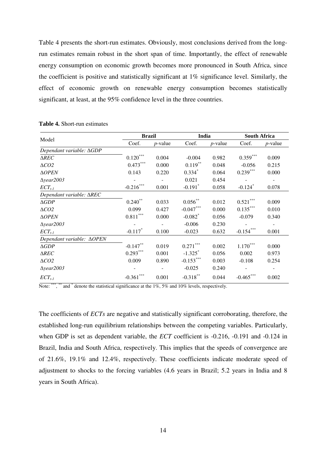Table 4 presents the short-run estimates. Obviously, most conclusions derived from the longrun estimates remain robust in the short span of time. Importantly, the effect of renewable energy consumption on economic growth becomes more pronounced in South Africa, since the coefficient is positive and statistically significant at 1% significance level. Similarly, the effect of economic growth on renewable energy consumption becomes statistically significant, at least, at the 95% confidence level in the three countries.

|                                      | <b>Brazil</b>          |            | India                 |            | <b>South Africa</b>   |            |
|--------------------------------------|------------------------|------------|-----------------------|------------|-----------------------|------------|
| Model                                | Coef.                  | $p$ -value | Coef.                 | $p$ -value | Coef.                 | $p$ -value |
| Dependant variable: ∆GDP             |                        |            |                       |            |                       |            |
| $\triangle REC$                      | $0.120^\mathrm{***}$   | 0.004      | $-0.004$              | 0.982      | $0.359***$            | 0.009      |
| $\triangle CO2$                      | $0.473***$             | 0.000      | $0.119***$            | 0.048      | $-0.056$              | 0.215      |
| $\triangle OPEN$                     | 0.143                  | 0.220      | $0.334*$              | 0.064      | $0.239***$            | 0.000      |
| $\triangle$ year2003                 |                        |            | 0.021                 | 0.454      |                       |            |
| $ECT_{t-1}$                          | $-0.216***$            | 0.001      | $-0.191$ <sup>*</sup> | 0.058      | $-0.124$ <sup>*</sup> | 0.078      |
| Dependant variable: AREC             |                        |            |                       |            |                       |            |
| $\triangle GDP$                      | $0.240**$              | 0.033      | $0.056***$            | 0.012      | $0.521***$            | 0.009      |
| $\triangle CO2$                      | 0.099                  | 0.427      | $-0.047***$           | 0.000      | $0.135***$            | 0.010      |
| $\triangle OPEN$                     | $0.811^{\ast\ast\ast}$ | 0.000      | $-0.082$ <sup>*</sup> | 0.056      | $-0.079$              | 0.340      |
| $\triangle$ year2003                 |                        |            | $-0.006$              | 0.230      |                       |            |
| $ECT_{t-1}$                          | $-0.117$ <sup>*</sup>  | 0.100      | $-0.023$              | 0.632      | $-0.154***$           | 0.001      |
| Dependant variable: $\triangle$ OPEN |                        |            |                       |            |                       |            |
| $\triangle GDP$                      | $-0.147**$             | 0.019      | $0.271***$            | 0.002      | $1.170***$            | 0.000      |
| $\triangle$ REC                      | $0.293***$             | 0.001      | $-1.325$ <sup>*</sup> | 0.056      | 0.002                 | 0.973      |
| $\triangle CO2$                      | 0.009                  | 0.890      | $-0.153***$           | 0.003      | $-0.108$              | 0.254      |
| $\Delta$ year2003                    |                        |            | $-0.025$              | 0.240      |                       |            |
| $ECT_{t-1}$                          | $-0.361***$            | 0.001      | $-0.318***$           | 0.044      | $-0.465$              | 0.002      |

**Table 4.** Short-run estimates

Note: \*\*\*, \*\* and \* denote the statistical significance at the 1%, 5% and 10% levels, respectively.

The coefficients of *ECTs* are negative and statistically significant corroborating, therefore, the established long-run equilibrium relationships between the competing variables. Particularly, when GDP is set as dependent variable, the *ECT* coefficient is -0.216, -0.191 and -0.124 in Brazil, India and South Africa, respectively. This implies that the speeds of convergence are of 21.6%, 19.1% and 12.4%, respectively. These coefficients indicate moderate speed of adjustment to shocks to the forcing variables (4.6 years in Brazil; 5.2 years in India and 8 years in South Africa).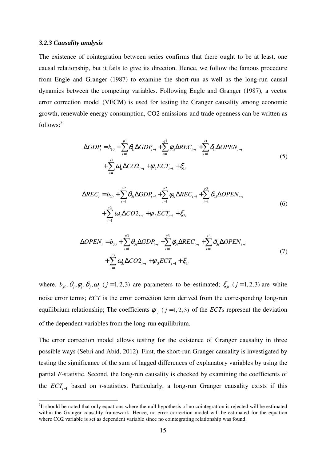#### *3.2.3 Causality analysis*

 $\overline{a}$ 

The existence of cointegration between series confirms that there ought to be at least, one causal relationship, but it fails to give its direction. Hence, we follow the famous procedure from Engle and Granger (1987) to examine the short-run as well as the long-run causal dynamics between the competing variables. Following Engle and Granger (1987), a vector error correction model (VECM) is used for testing the Granger causality among economic growth, renewable energy consumption, CO2 emissions and trade openness can be written as follows:<sup>3</sup>

$$
\Delta GDP_{t} = b_{10} + \sum_{i=1}^{p1} \theta_{1i} \Delta GDP_{t-i} + \sum_{i=1}^{q1} \phi_{1i} \Delta REC_{t-i} + \sum_{i=1}^{r1} \delta_{1i} \Delta OPEN_{t-i} + \sum_{i=1}^{s1} \omega_{1i} \Delta CO2_{t-i} + \psi_{1} ECT_{t-1} + \xi_{1t}
$$
\n(5)

$$
\Delta REC_{t} = b_{20} + \sum_{i=1}^{p2} \theta_{2i} \Delta GDP_{t-i} + \sum_{i=1}^{q2} \phi_{2i} \Delta REC_{t-i} + \sum_{i=1}^{r2} \delta_{2i} \Delta OPEN_{t-i} + \sum_{i=1}^{s2} \omega_{2i} \Delta CO2_{t-i} + \psi_{2} ECT_{t-1} + \xi_{2t}
$$
\n(6)

$$
\Delta OPEN_{t} = b_{30} + \sum_{i=1}^{p3} \theta_{3i} \Delta GDP_{t-i} + \sum_{i=1}^{q3} \phi_{3i} \Delta REC_{t-i} + \sum_{i=1}^{r3} \delta_{3i} \Delta OPEN_{t-i} + \sum_{i=1}^{s3} \omega_{3i} \Delta CO2_{t-i} + \psi_{3} ECT_{t-1} + \xi_{3t}
$$
\n(7)

where,  $b_{j0}, \theta_j, \phi_j, \delta_j, \omega_j$  (*j* = 1, 2, 3) are parameters to be estimated;  $\xi_{j}$  (*j* = 1, 2, 3) are white noise error terms; *ECT* is the error correction term derived from the corresponding long-run equilibrium relationship; The coefficients  $\psi_i$  ( $j = 1, 2, 3$ ) of the *ECTs* represent the deviation of the dependent variables from the long-run equilibrium.

The error correction model allows testing for the existence of Granger causality in three possible ways (Sebri and Abid, 2012). First, the short-run Granger causality is investigated by testing the significance of the sum of lagged differences of explanatory variables by using the partial *F*-statistic. Second, the long-run causality is checked by examining the coefficients of the *ECTt*−<sup>1</sup> based on *t*-statistics. Particularly, a long-run Granger causality exists if this

 $3$ It should be noted that only equations where the null hypothesis of no cointegration is rejected will be estimated within the Granger causality framework. Hence, no error correction model will be estimated for the equation where CO2 variable is set as dependent variable since no cointegrating relationship was found.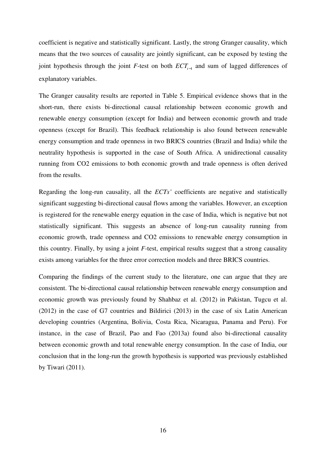coefficient is negative and statistically significant. Lastly, the strong Granger causality, which means that the two sources of causality are jointly significant, can be exposed by testing the joint hypothesis through the joint *F*-test on both *ECTt*−<sup>1</sup> and sum of lagged differences of explanatory variables.

The Granger causality results are reported in Table 5. Empirical evidence shows that in the short-run, there exists bi-directional causal relationship between economic growth and renewable energy consumption (except for India) and between economic growth and trade openness (except for Brazil). This feedback relationship is also found between renewable energy consumption and trade openness in two BRICS countries (Brazil and India) while the neutrality hypothesis is supported in the case of South Africa. A unidirectional causality running from CO2 emissions to both economic growth and trade openness is often derived from the results.

Regarding the long-run causality, all the *ECTs'* coefficients are negative and statistically significant suggesting bi-directional causal flows among the variables. However, an exception is registered for the renewable energy equation in the case of India, which is negative but not statistically significant. This suggests an absence of long-run causality running from economic growth, trade openness and CO2 emissions to renewable energy consumption in this country. Finally, by using a joint *F*-test, empirical results suggest that a strong causality exists among variables for the three error correction models and three BRICS countries.

Comparing the findings of the current study to the literature, one can argue that they are consistent. The bi-directional causal relationship between renewable energy consumption and economic growth was previously found by Shahbaz et al. (2012) in Pakistan, Tugcu et al. (2012) in the case of G7 countries and Bildirici (2013) in the case of six Latin American developing countries (Argentina, Bolivia, Costa Rica, Nicaragua, Panama and Peru). For instance, in the case of Brazil, Pao and Fao (2013a) found also bi-directional causality between economic growth and total renewable energy consumption. In the case of India, our conclusion that in the long-run the growth hypothesis is supported was previously established by Tiwari (2011).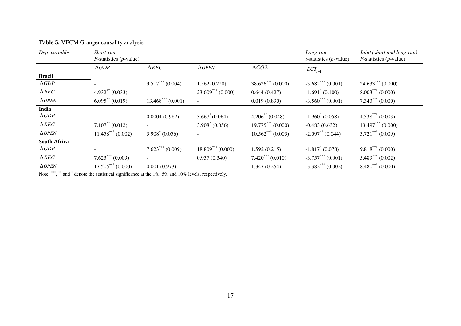| Dep. variable       | Short-run                 |                                 |                         |                       | Long-run                        | Joint (short and long-run)         |
|---------------------|---------------------------|---------------------------------|-------------------------|-----------------------|---------------------------------|------------------------------------|
|                     | $F$ -statistics (p-value) |                                 |                         |                       | $t$ -statistics (p-value)       | $F$ -statistics ( <i>p</i> -value) |
|                     | $\triangle GDP$           | $\triangle$ REC                 | $\triangle$ <i>OPEN</i> | $\triangle CO2$       | $ECT_{t-}$                      |                                    |
| <b>Brazil</b>       |                           |                                 |                         |                       |                                 |                                    |
| $\triangle GDP$     |                           | $9.517***(0.004)$               | 1.562(0.220)            | $38.626***(0.000)$    | $-3.682$ *** (0.001)            | $24.633***(0.000)$                 |
| $\triangle$ REC     | $4.932**$ (0.033)         |                                 | $23.609***(0.000)$      | 0.644(0.427)          | $-1.691^* (0.100)$              | $8.003***(0.000)$                  |
| $\triangle$ OPEN    | $6.095^{**}$ (0.019)      | $13.468$ <sup>***</sup> (0.001) | $\blacksquare$          | 0.019(0.890)          | $-3.560^{\ast\ast\ast}$ (0.001) | $7.343***(0.000)$                  |
| India               |                           |                                 |                         |                       |                                 |                                    |
| $\triangle GDP$     |                           | 0.0004(0.982)                   | $3.667^*(0.064)$        | $4.206^{**}$ (0.048)  | $-1.960^* (0.058)$              | $4.538***(0.003)$                  |
| $\triangle$ REC     | $7.107^{**}$ (0.012)      |                                 | $3.908^* (0.056)$       | $19.775***(0.000)$    | $-0.483(0.632)$                 | $13.497***(0.000)$                 |
| $\triangle$ OPEN    | $11.458***(0.002)$        | $3.908^* (0.056)$               | $\sim$                  | $10.562***(0.003)$    | $-2.097**$ (0.044)              | $3.721***(0.009)$                  |
| <b>South Africa</b> |                           |                                 |                         |                       |                                 |                                    |
| $\triangle GDP$     |                           | $7.623***(0.009)$               | $18.809***(0.000)$      | 1.592(0.215)          | $-1.817^*(0.078)$               | $9.818***(0.000)$                  |
| $\triangle$ REC     | $7.623***(0.009)$         |                                 | 0.937(0.340)            | $7.420^{***}$ (0.010) | $-3.757***$ (0.001)             | $5.489***(0.002)$                  |
| $\triangle$ OPEN    | $17.505***(0.000)$        | 0.001(0.973)                    | ۰                       | 1.347(0.254)          | $-3.382$ *** (0.002)            | $8.480^{***}$ (0.000)              |

# **Table 5.** VECM Granger causality analysis

Note: \*\*\*, \*\* and \* denote the statistical significance at the 1%, 5% and 10% levels, respectively.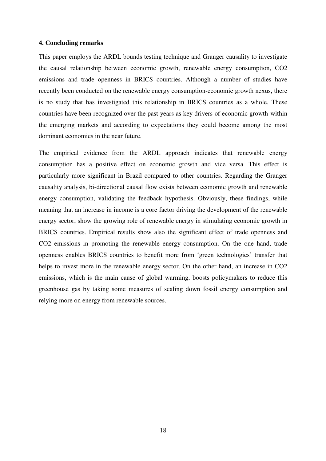#### **4. Concluding remarks**

This paper employs the ARDL bounds testing technique and Granger causality to investigate the causal relationship between economic growth, renewable energy consumption, CO2 emissions and trade openness in BRICS countries. Although a number of studies have recently been conducted on the renewable energy consumption-economic growth nexus, there is no study that has investigated this relationship in BRICS countries as a whole. These countries have been recognized over the past years as key drivers of economic growth within the emerging markets and according to expectations they could become among the most dominant economies in the near future.

The empirical evidence from the ARDL approach indicates that renewable energy consumption has a positive effect on economic growth and vice versa. This effect is particularly more significant in Brazil compared to other countries. Regarding the Granger causality analysis, bi-directional causal flow exists between economic growth and renewable energy consumption, validating the feedback hypothesis. Obviously, these findings, while meaning that an increase in income is a core factor driving the development of the renewable energy sector, show the growing role of renewable energy in stimulating economic growth in BRICS countries. Empirical results show also the significant effect of trade openness and CO2 emissions in promoting the renewable energy consumption. On the one hand, trade openness enables BRICS countries to benefit more from 'green technologies' transfer that helps to invest more in the renewable energy sector. On the other hand, an increase in CO2 emissions, which is the main cause of global warming, boosts policymakers to reduce this greenhouse gas by taking some measures of scaling down fossil energy consumption and relying more on energy from renewable sources.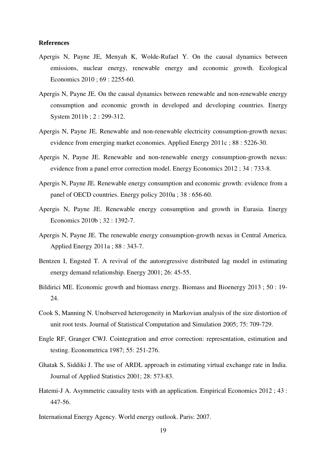#### **References**

- Apergis N, Payne JE, Menyah K, Wolde-Rufael Y. On the causal dynamics between emissions, nuclear energy, renewable energy and economic growth. Ecological Economics 2010 ; 69 : 2255-60.
- Apergis N, Payne JE. On the causal dynamics between renewable and non-renewable energy consumption and economic growth in developed and developing countries. Energy System 2011b ; 2 : 299-312.
- Apergis N, Payne JE. Renewable and non-renewable electricity consumption-growth nexus: evidence from emerging market economies. Applied Energy 2011c ; 88 : 5226-30.
- Apergis N, Payne JE. Renewable and non-renewable energy consumption-growth nexus: evidence from a panel error correction model. Energy Economics 2012 ; 34 : 733-8.
- Apergis N, Payne JE. Renewable energy consumption and economic growth: evidence from a panel of OECD countries. Energy policy 2010a ; 38 : 656-60.
- Apergis N, Payne JE. Renewable energy consumption and growth in Eurasia. Energy Economics 2010b ; 32 : 1392-7.
- Apergis N, Payne JE. The renewable energy consumption-growth nexus in Central America. Applied Energy 2011a ; 88 : 343-7.
- Bentzen I, Engsted T. A revival of the autoregressive distributed lag model in estimating energy demand relationship. Energy 2001; 26: 45-55.
- Bildirici ME. Economic growth and biomass energy. Biomass and Bioenergy 2013 ; 50 : 19- 24.
- Cook S, Manning N. Unobserved heterogeneity in Markovian analysis of the size distortion of unit root tests. Journal of Statistical Computation and Simulation 2005; 75: 709-729.
- Engle RF, Granger CWJ. Cointegration and error correction: representation, estimation and testing. Econometrica 1987; 55: 251-276.
- Ghatak S, Siddiki J. The use of ARDL approach in estimating virtual exchange rate in India. Journal of Applied Statistics 2001; 28: 573-83.
- Hatemi-J A. Asymmetric causality tests with an application. Empirical Economics 2012 ; 43 : 447-56.
- International Energy Agency. World energy outlook. Paris: 2007.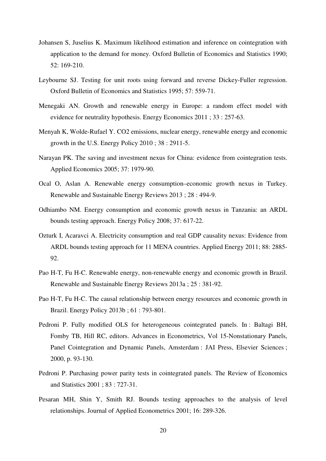- Johansen S, Juselius K. Maximum likelihood estimation and inference on cointegration with application to the demand for money. Oxford Bulletin of Economics and Statistics 1990; 52: 169-210.
- Leybourne SJ. Testing for unit roots using forward and reverse Dickey-Fuller regression. Oxford Bulletin of Economics and Statistics 1995; 57: 559-71.
- Menegaki AN. Growth and renewable energy in Europe: a random effect model with evidence for neutrality hypothesis. Energy Economics 2011 ; 33 : 257-63.
- Menyah K, Wolde-Rufael Y. CO2 emissions, nuclear energy, renewable energy and economic growth in the U.S. Energy Policy 2010 ; 38 : 2911-5.
- Narayan PK. The saving and investment nexus for China: evidence from cointegration tests. Applied Economics 2005; 37: 1979-90.
- Ocal O, Aslan A. Renewable energy consumption–economic growth nexus in Turkey. Renewable and Sustainable Energy Reviews 2013 ; 28 : 494-9.
- Odhiambo NM. Energy consumption and economic growth nexus in Tanzania: an ARDL bounds testing approach. Energy Policy 2008; 37: 617-22.
- Ozturk I, Acaravci A. Electricity consumption and real GDP causality nexus: Evidence from ARDL bounds testing approach for 11 MENA countries. Applied Energy 2011; 88: 2885- 92.
- Pao H-T, Fu H-C. Renewable energy, non-renewable energy and economic growth in Brazil. Renewable and Sustainable Energy Reviews 2013a ; 25 : 381-92.
- Pao H-T, Fu H-C. The causal relationship between energy resources and economic growth in Brazil. Energy Policy 2013b ; 61 : 793-801.
- Pedroni P. Fully modified OLS for heterogeneous cointegrated panels. In : Baltagi BH, Fomby TB, Hill RC, editors. Advances in Econometrics, Vol 15-Nonstationary Panels, Panel Cointegration and Dynamic Panels, Amsterdam : JAI Press, Elsevier Sciences ; 2000, p. 93-130.
- Pedroni P. Purchasing power parity tests in cointegrated panels. The Review of Economics and Statistics 2001 ; 83 : 727-31.
- Pesaran MH, Shin Y, Smith RJ. Bounds testing approaches to the analysis of level relationships. Journal of Applied Econometrics 2001; 16: 289-326.